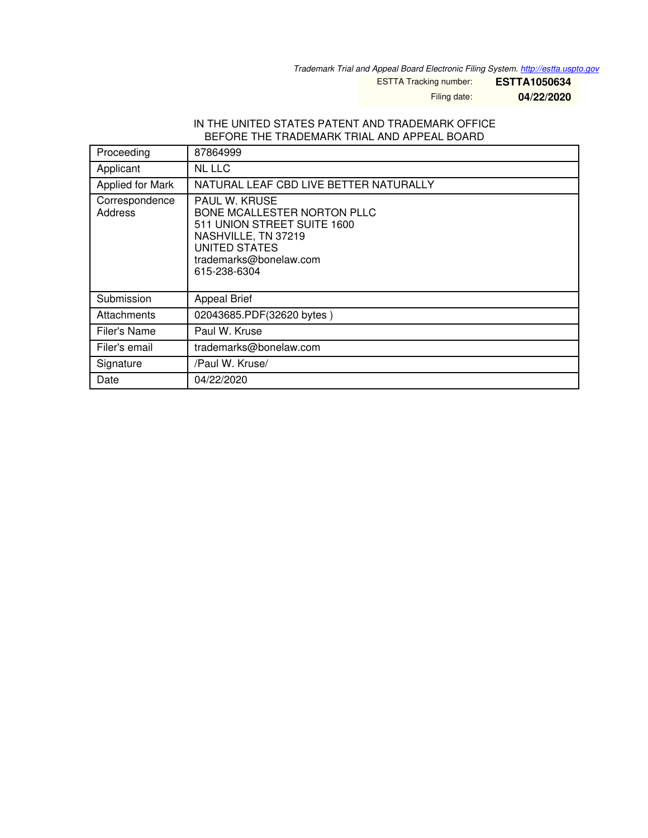*Trademark Trial and Appeal Board Electronic Filing System. <http://estta.uspto.gov>*

ESTTA Tracking number: **ESTTA1050634**

Filing date: **04/22/2020**

#### IN THE UNITED STATES PATENT AND TRADEMARK OFFICE BEFORE THE TRADEMARK TRIAL AND APPEAL BOARD

| Proceeding                | 87864999                                                                                                                                                                    |
|---------------------------|-----------------------------------------------------------------------------------------------------------------------------------------------------------------------------|
| Applicant                 | NL LLC                                                                                                                                                                      |
| Applied for Mark          | NATURAL LEAF CBD LIVE BETTER NATURALLY                                                                                                                                      |
| Correspondence<br>Address | <b>PAUL W. KRUSE</b><br><b>BONE MCALLESTER NORTON PLLC</b><br>511 UNION STREET SUITE 1600<br>NASHVILLE, TN 37219<br>UNITED STATES<br>trademarks@bonelaw.com<br>615-238-6304 |
| Submission                | <b>Appeal Brief</b>                                                                                                                                                         |
| Attachments               | 02043685.PDF(32620 bytes)                                                                                                                                                   |
| Filer's Name              | Paul W. Kruse                                                                                                                                                               |
| Filer's email             | trademarks@bonelaw.com                                                                                                                                                      |
| Signature                 | /Paul W. Kruse/                                                                                                                                                             |
| Date                      | 04/22/2020                                                                                                                                                                  |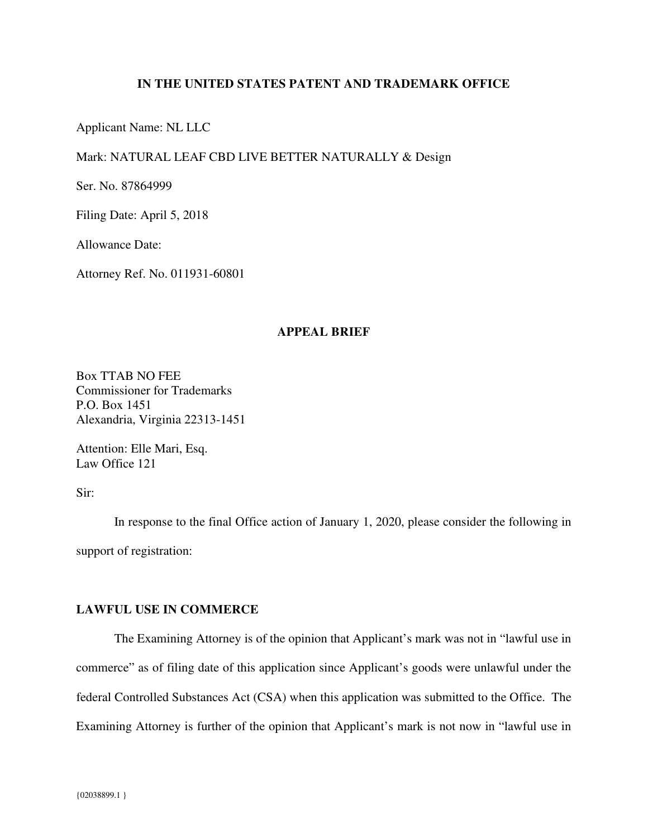# **IN THE UNITED STATES PATENT AND TRADEMARK OFFICE**

Applicant Name: NL LLC

### Mark: NATURAL LEAF CBD LIVE BETTER NATURALLY & Design

Ser. No. 87864999

Filing Date: April 5, 2018

Allowance Date:

Attorney Ref. No. 011931-60801

## **APPEAL BRIEF**

Box TTAB NO FEE Commissioner for Trademarks P.O. Box 1451 Alexandria, Virginia 22313-1451

Attention: Elle Mari, Esq. Law Office 121

Sir:

In response to the final Office action of January 1, 2020, please consider the following in support of registration:

#### **LAWFUL USE IN COMMERCE**

The Examining Attorney is of the opinion that Applicant's mark was not in "lawful use in commerce" as of filing date of this application since Applicant's goods were unlawful under the federal Controlled Substances Act (CSA) when this application was submitted to the Office. The Examining Attorney is further of the opinion that Applicant's mark is not now in "lawful use in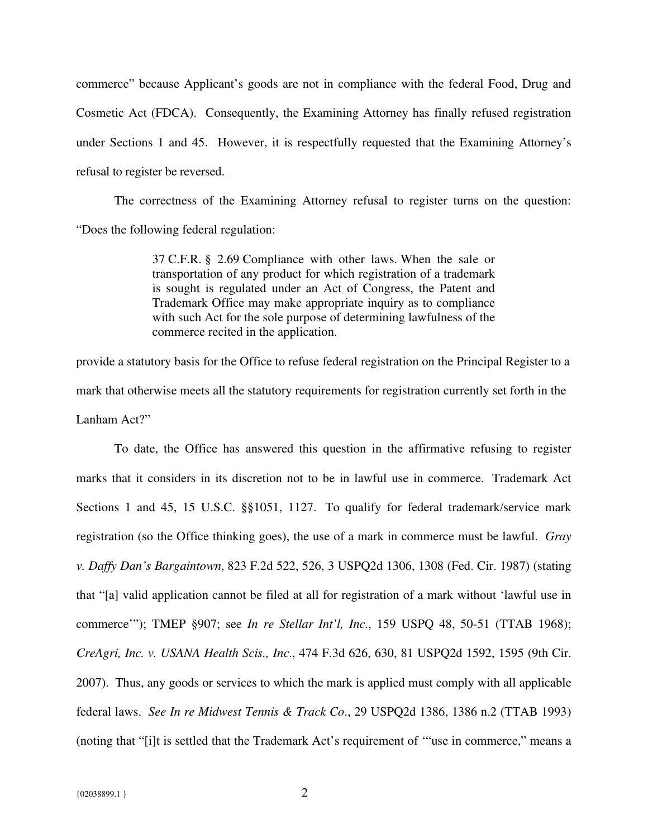commerce" because Applicant's goods are not in compliance with the federal Food, Drug and Cosmetic Act (FDCA). Consequently, the Examining Attorney has finally refused registration under Sections 1 and 45. However, it is respectfully requested that the Examining Attorney's refusal to register be reversed.

The correctness of the Examining Attorney refusal to register turns on the question: "Does the following federal regulation:

> 37 C.F.R. § 2.69 Compliance with other laws. When the sale or transportation of any product for which registration of a trademark is sought is regulated under an Act of Congress, the Patent and Trademark Office may make appropriate inquiry as to compliance with such Act for the sole purpose of determining lawfulness of the commerce recited in the application.

provide a statutory basis for the Office to refuse federal registration on the Principal Register to a mark that otherwise meets all the statutory requirements for registration currently set forth in the Lanham Act?"

To date, the Office has answered this question in the affirmative refusing to register marks that it considers in its discretion not to be in lawful use in commerce. Trademark Act Sections 1 and 45, 15 U.S.C. §§1051, 1127. To qualify for federal trademark/service mark registration (so the Office thinking goes), the use of a mark in commerce must be lawful. *Gray v. Daffy Dan's Bargaintown*, 823 F.2d 522, 526, 3 USPQ2d 1306, 1308 (Fed. Cir. 1987) (stating that "[a] valid application cannot be filed at all for registration of a mark without 'lawful use in commerce'"); TMEP §907; see *In re Stellar Int'l, Inc*., 159 USPQ 48, 50-51 (TTAB 1968); *CreAgri, Inc. v. USANA Health Scis., Inc*., 474 F.3d 626, 630, 81 USPQ2d 1592, 1595 (9th Cir. 2007). Thus, any goods or services to which the mark is applied must comply with all applicable federal laws. *See In re Midwest Tennis & Track Co*., 29 USPQ2d 1386, 1386 n.2 (TTAB 1993) (noting that "[i]t is settled that the Trademark Act's requirement of '"use in commerce," means a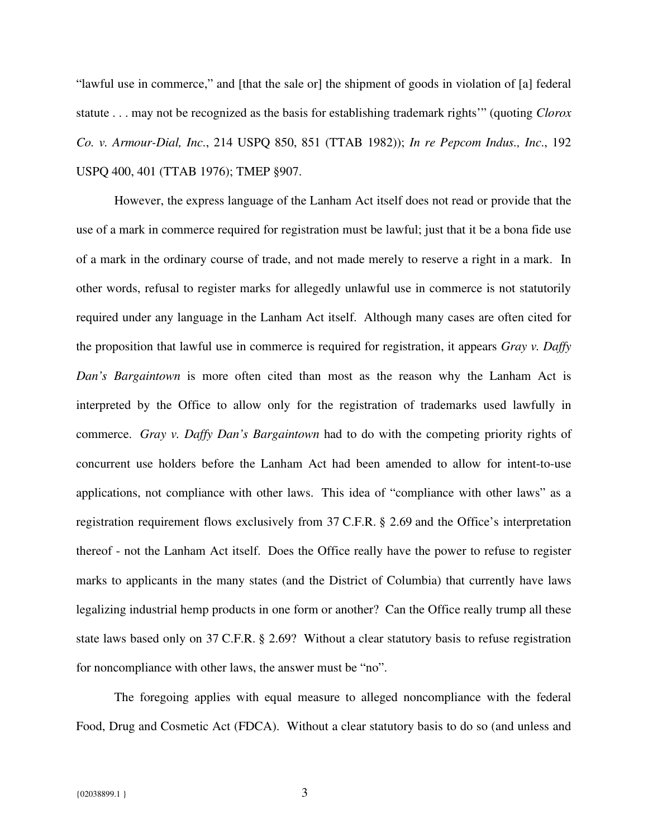"lawful use in commerce," and [that the sale or] the shipment of goods in violation of [a] federal statute . . . may not be recognized as the basis for establishing trademark rights'" (quoting *Clorox Co. v. Armour-Dial, Inc*., 214 USPQ 850, 851 (TTAB 1982)); *In re Pepcom Indus., Inc*., 192 USPQ 400, 401 (TTAB 1976); TMEP §907.

However, the express language of the Lanham Act itself does not read or provide that the use of a mark in commerce required for registration must be lawful; just that it be a bona fide use of a mark in the ordinary course of trade, and not made merely to reserve a right in a mark. In other words, refusal to register marks for allegedly unlawful use in commerce is not statutorily required under any language in the Lanham Act itself. Although many cases are often cited for the proposition that lawful use in commerce is required for registration, it appears *Gray v. Daffy Dan's Bargaintown* is more often cited than most as the reason why the Lanham Act is interpreted by the Office to allow only for the registration of trademarks used lawfully in commerce. *Gray v. Daffy Dan's Bargaintown* had to do with the competing priority rights of concurrent use holders before the Lanham Act had been amended to allow for intent-to-use applications, not compliance with other laws. This idea of "compliance with other laws" as a registration requirement flows exclusively from 37 C.F.R. § 2.69 and the Office's interpretation thereof - not the Lanham Act itself. Does the Office really have the power to refuse to register marks to applicants in the many states (and the District of Columbia) that currently have laws legalizing industrial hemp products in one form or another? Can the Office really trump all these state laws based only on 37 C.F.R. § 2.69? Without a clear statutory basis to refuse registration for noncompliance with other laws, the answer must be "no".

The foregoing applies with equal measure to alleged noncompliance with the federal Food, Drug and Cosmetic Act (FDCA). Without a clear statutory basis to do so (and unless and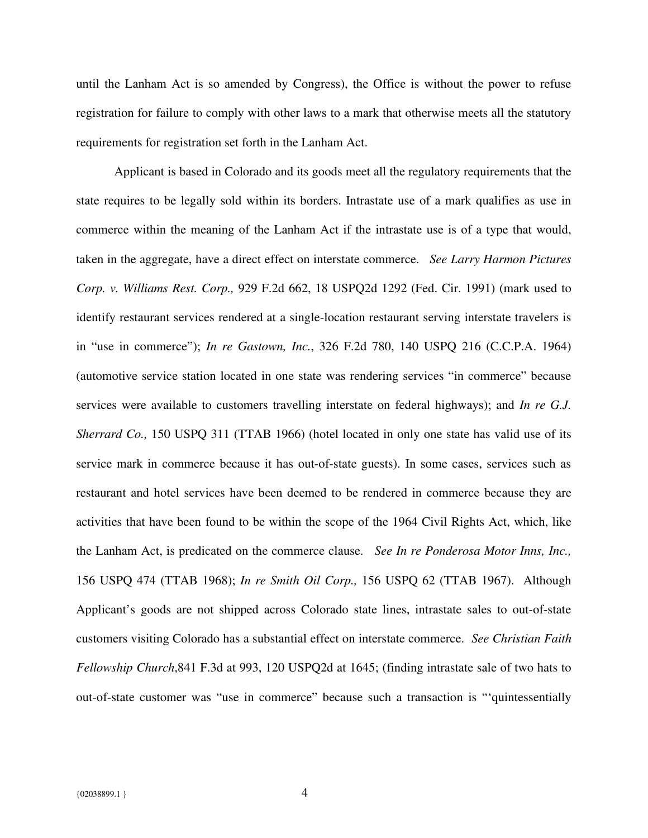until the Lanham Act is so amended by Congress), the Office is without the power to refuse registration for failure to comply with other laws to a mark that otherwise meets all the statutory requirements for registration set forth in the Lanham Act.

Applicant is based in Colorado and its goods meet all the regulatory requirements that the state requires to be legally sold within its borders. Intrastate use of a mark qualifies as use in commerce within the meaning of the Lanham Act if the intrastate use is of a type that would, taken in the aggregate, have a direct effect on interstate commerce. *See Larry Harmon Pictures Corp. v. Williams Rest. Corp.,* 929 F.2d 662, 18 USPQ2d 1292 (Fed. Cir. 1991) (mark used to identify restaurant services rendered at a single-location restaurant serving interstate travelers is in "use in commerce"); *In re Gastown, Inc.*, 326 F.2d 780, 140 USPQ 216 (C.C.P.A. 1964) (automotive service station located in one state was rendering services "in commerce" because services were available to customers travelling interstate on federal highways); and *In re G.J. Sherrard Co.,* 150 USPQ 311 (TTAB 1966) (hotel located in only one state has valid use of its service mark in commerce because it has out-of-state guests). In some cases, services such as restaurant and hotel services have been deemed to be rendered in commerce because they are activities that have been found to be within the scope of the 1964 Civil Rights Act, which, like the Lanham Act, is predicated on the commerce clause. *See In re Ponderosa Motor Inns, Inc.,* 156 USPQ 474 (TTAB 1968); *In re Smith Oil Corp.,* 156 USPQ 62 (TTAB 1967). Although Applicant's goods are not shipped across Colorado state lines, intrastate sales to out-of-state customers visiting Colorado has a substantial effect on interstate commerce. *See Christian Faith Fellowship Church*,841 F.3d at 993, 120 USPQ2d at 1645; (finding intrastate sale of two hats to out-of-state customer was "use in commerce" because such a transaction is "'quintessentially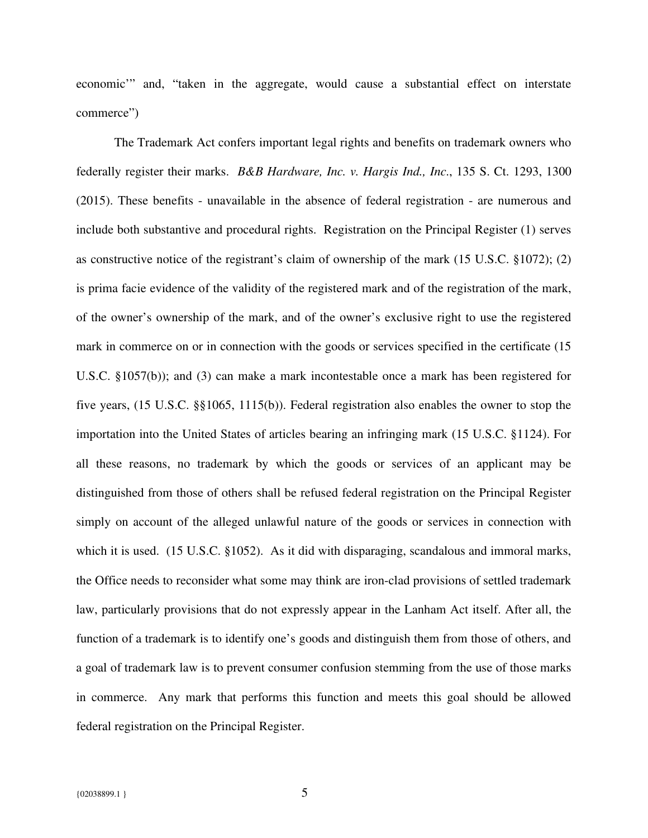economic'" and, "taken in the aggregate, would cause a substantial effect on interstate commerce")

The Trademark Act confers important legal rights and benefits on trademark owners who federally register their marks. *B&B Hardware, Inc. v. Hargis Ind., Inc*., 135 S. Ct. 1293, 1300 (2015). These benefits - unavailable in the absence of federal registration - are numerous and include both substantive and procedural rights. Registration on the Principal Register (1) serves as constructive notice of the registrant's claim of ownership of the mark (15 U.S.C. §1072); (2) is prima facie evidence of the validity of the registered mark and of the registration of the mark, of the owner's ownership of the mark, and of the owner's exclusive right to use the registered mark in commerce on or in connection with the goods or services specified in the certificate (15 U.S.C. §1057(b)); and (3) can make a mark incontestable once a mark has been registered for five years, (15 U.S.C. §§1065, 1115(b)). Federal registration also enables the owner to stop the importation into the United States of articles bearing an infringing mark (15 U.S.C. §1124). For all these reasons, no trademark by which the goods or services of an applicant may be distinguished from those of others shall be refused federal registration on the Principal Register simply on account of the alleged unlawful nature of the goods or services in connection with which it is used. (15 U.S.C. §1052). As it did with disparaging, scandalous and immoral marks, the Office needs to reconsider what some may think are iron-clad provisions of settled trademark law, particularly provisions that do not expressly appear in the Lanham Act itself. After all, the function of a trademark is to identify one's goods and distinguish them from those of others, and a goal of trademark law is to prevent consumer confusion stemming from the use of those marks in commerce. Any mark that performs this function and meets this goal should be allowed federal registration on the Principal Register.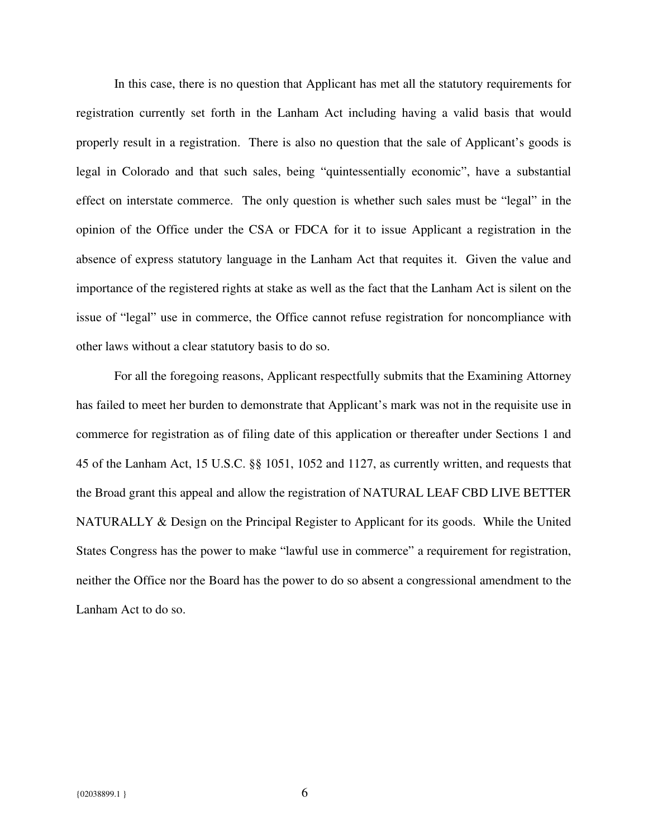In this case, there is no question that Applicant has met all the statutory requirements for registration currently set forth in the Lanham Act including having a valid basis that would properly result in a registration. There is also no question that the sale of Applicant's goods is legal in Colorado and that such sales, being "quintessentially economic", have a substantial effect on interstate commerce. The only question is whether such sales must be "legal" in the opinion of the Office under the CSA or FDCA for it to issue Applicant a registration in the absence of express statutory language in the Lanham Act that requites it. Given the value and importance of the registered rights at stake as well as the fact that the Lanham Act is silent on the issue of "legal" use in commerce, the Office cannot refuse registration for noncompliance with other laws without a clear statutory basis to do so.

For all the foregoing reasons, Applicant respectfully submits that the Examining Attorney has failed to meet her burden to demonstrate that Applicant's mark was not in the requisite use in commerce for registration as of filing date of this application or thereafter under Sections 1 and 45 of the Lanham Act, 15 U.S.C. §§ 1051, 1052 and 1127, as currently written, and requests that the Broad grant this appeal and allow the registration of NATURAL LEAF CBD LIVE BETTER NATURALLY & Design on the Principal Register to Applicant for its goods. While the United States Congress has the power to make "lawful use in commerce" a requirement for registration, neither the Office nor the Board has the power to do so absent a congressional amendment to the Lanham Act to do so.